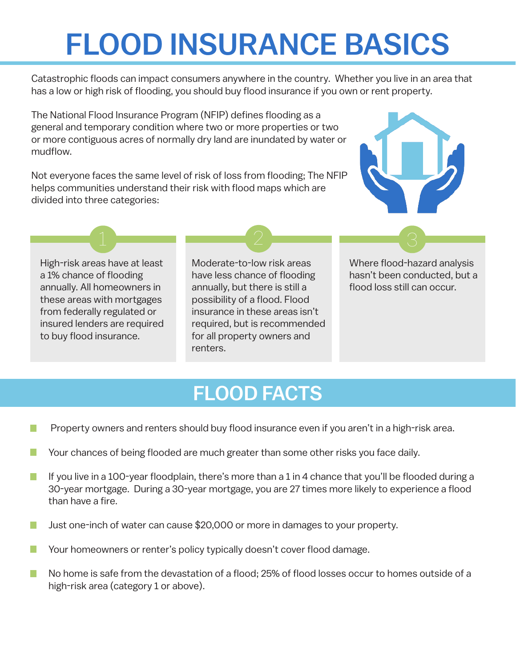## FLOOD INSURANCE BASICS

Catastrophic floods can impact consumers anywhere in the country. Whether you live in an area that has a low or high risk of flooding, you should buy flood insurance if you own or rent property.

The National Flood Insurance Program (NFIP) defines flooding as a general and temporary condition where two or more properties or two or more contiguous acres of normally dry land are inundated by water or mudflow.

Not everyone faces the same level of risk of loss from flooding; The NFIP helps communities understand their risk with flood maps which are divided into three categories:



High-risk areas have at least a 1% chance of flooding annually. All homeowners in these areas with mortgages from federally regulated or insured lenders are required to buy flood insurance.

Moderate-to-low risk areas have less chance of flooding annually, but there is still a possibility of a flood. Flood insurance in these areas isn't required, but is recommended for all property owners and renters.

1 2 3

Where flood-hazard analysis hasn't been conducted, but a flood loss still can occur.

## FLOOD FACTS

- Property owners and renters should buy flood insurance even if you aren't in a high-risk area. I.
- Your chances of being flooded are much greater than some other risks you face daily.  $\mathbb{R}^3$
- П If you live in a 100-year floodplain, there's more than a 1 in 4 chance that you'll be flooded during a 30-year mortgage. During a 30-year mortgage, you are 27 times more likely to experience a flood than have a fire.
- Just one-inch of water can cause \$20,000 or more in damages to your property.  $\Box$
- Your homeowners or renter's policy typically doesn't cover flood damage.
- No home is safe from the devastation of a flood; 25% of flood losses occur to homes outside of a П high-risk area (category 1 or above).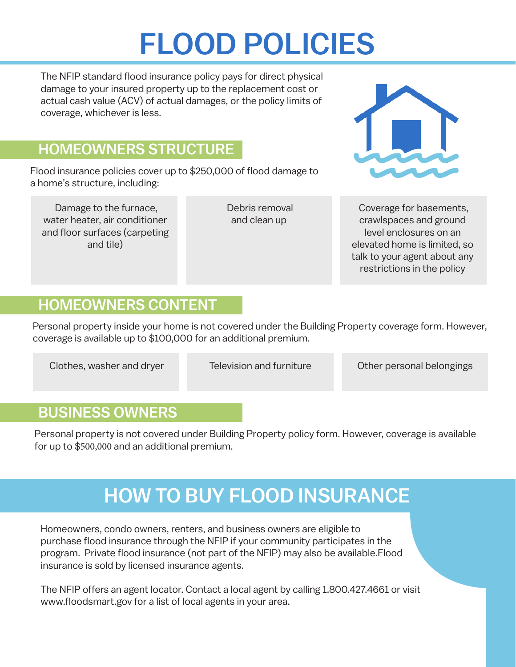# FLOOD POLICIES

The NFIP standard flood insurance policy pays for direct physical damage to your insured property up to the replacement cost or actual cash value (ACV) of actual damages, or the policy limits of coverage, whichever is less.

### HOMEOWNERS STRUCTURE

Flood insurance policies cover up to \$250,000 of flood damage to a home's structure, including:

Damage to the furnace, water heater, air conditioner and floor surfaces (carpeting and tile)

Debris removal and clean up



Coverage for basements, crawlspaces and ground level enclosures on an elevated home is limited, so talk to your agent about any restrictions in the policy

#### HOMEOWNERS CONTENT

Personal property inside your home is not covered under the Building Property coverage form. However, coverage is available up to \$100,000 for an additional premium.

Clothes, washer and dryer

Television and furniture

Other personal belongings

#### BUSINESS OWNERS

Personal property is not covered under Building Property policy form. However, coverage is available for up to \$500,000 and an additional premium.

## HOW TO BUY FLOOD INSURANCE

Homeowners, condo owners, renters, and business owners are eligible to purchase flood insurance through the NFIP if your community participates in the program. Private flood insurance (not part of the NFIP) may also be available.Flood insurance is sold by licensed insurance agents.

The NFIP offers an agent locator. Contact a local agent by calling 1.800.427.4661 or visit www.floodsmart.gov for a list of local agents in your area.